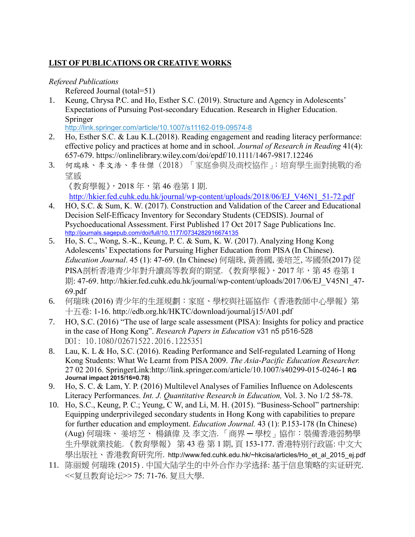# **LIST OF PUBLICATIONS OR CREATIVE WORKS**

### *Refereed Publications*

Refereed Journal (total=51)

1. Keung, Chrysa P.C. and Ho, Esther S.C. (2019). Structure and Agency in Adolescents' Expectations of Pursuing Post-secondary Education. Research in Higher Education. Springer

[http://link.springer.com/article/10.1007/s11162-019-09574-8](http://links.springernature.com/f/a/5YVTihgYm6CwAsFqzkrPrg~~/AABE5gA~/RgRfVWIDP0QwaHR0cDovL3d3dy5zcHJpbmdlci5jb20vLS8xL0FXME4xYXQ0RGZ4blZWYnpYRTJOVwNzcGNCCgAAgy50XRCD5WNSFGVzdGhlcmhvQGN1aGsuZWR1LmhrWAQAAAbn)

- 2. Ho, Esther S.C. & Lau K.L.(2018). Reading engagement and reading literacy performance: effective policy and practices at home and in school. *Journal of Research in Reading* 41(4): 657-679. https://onlinelibrary.wiley.com/doi/epdf/10.1111/1467-9817.12246
- 3. 何瑞珠、李文浩、李仕傑 (2018) 「家庭參與及商校協作」:培育學生面對挑戰的希 望感 《教育學報》,2018 年,第 46 卷第 1 期.

[http://hkier.fed.cuhk.edu.hk/journal/wp-content/uploads/2018/06/EJ\\_V46N1\\_51-72.pdf](http://hkier.fed.cuhk.edu.hk/journal/wp-content/uploads/2018/06/EJ_V46N1_51-72.pdf)

- 4. HO, S.C. & Sum, K. W. (2017). Construction and Validation of the Career and Educational Decision Self-Efficacy Inventory for Secondary Students (CEDSIS). Journal of Psychoeducational Assessment. First Published 17 Oct 2017 Sage Publications Inc. <http://journals.sagepub.com/doi/full/10.1177/0734282916674135>
- 5. Ho, S. C., Wong, S.-K., Keung, P. C. & Sum, K. W. (2017). Analyzing Hong Kong Adolescents' Expectations for Pursuing Higher Education from PISA (In Chinese). *Education Journal*. 45 (1): 47-69. (In Chinese) 何瑞珠, 黃善國, 姜培芝, 岑國榮(2017) 從 PISA剖析香港青少年對升讀高等教育的期望. 《教育學報》, 2017 年, 第 45 卷第 1 期: 47-69. http://hkier.fed.cuhk.edu.hk/journal/wp-content/uploads/2017/06/EJ\_V45N1\_47-69.pdf
- 6. 何瑞珠 (2016) 青少年的生涯規劃:家庭、學校與社區協作《香港教師中心學報》第 十五卷: 1-16. http://edb.org.hk/HKTC/download/journal/j15/A01.pdf
- 7. HO, S.C. (2016) "The use of large scale assessment (PISA): Insights for policy and practice in the case of Hong Kong". *Research Papers in Education* v31 n5 p516-528 DOI: 10.1080/02671522.2016.1225351
- 8. Lau, K. L & Ho, S.C. (2016). Reading Performance and Self-regulated Learning of Hong Kong Students: What We Learnt from PISA 2009. *The Asia-Pacific Education Researcher.* 27 02 2016. SpringerLink[:http://link.springer.com/article/10.1007/s40299-015-0246-1](http://www.springer.com/-/1/AU5BcKEumRg70md7yO0-) **RG Journal impact 2015/16=0.78)**
- 9. Ho, S. C. & Lam, Y. P. (2016) Multilevel Analyses of Families Influence on Adolescents Literacy Performances. *Int. J. Quantitative Research in Education,* Vol. 3. No 1/2 58-78.
- 10. Ho, S.C., Keung, P. C.; Yeung, C W, and Li, M. H. (2015). "Business-School" partnership: Equipping underprivileged secondary students in Hong Kong with capabilities to prepare for further education and employment. *Education Journal.* 43 (1): P.153-178 (In Chinese) (Aug) 何瑞珠、 姜培芝、 楊鎮偉 及 李文浩. 「商界 ─ 學校」協作:裝備香港弱勢學 生升學就業技能. 《教育學報》 第 43 卷 第 1 期, 頁 153-177. 香港特別行政區: 中文大 學出版社、香港教育研究所. http://www.fed.cuhk.edu.hk/~hkcisa/articles/Ho\_et\_al\_2015\_ej.pdf
- 11. 陈丽媛 何瑞珠 (2015) . 中国大陆学生的中外合作办学选择: 基于信息策略的实证研究. <<复旦教育论坛>> 75: 71-76. 复旦大學.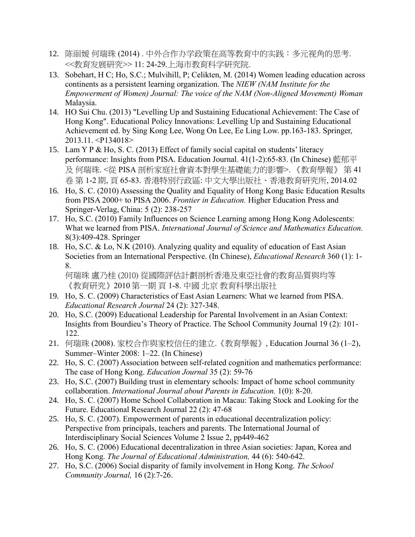- 12. 陈丽媛 何瑞珠 (2014) . 中外合作办学政策在高等教育中的实践:多元视角的思考. <<教育发展研究>> 11: 24-29.上海市教育科学研究院.
- 13. Sobehart, H C; Ho, S.C.; Mulvihill, P; Celikten, M. (2014) Women leading education across continents as a persistent learning organization. The *NIEW (NAM Institute for the Empowerment of Women) Journal: The voice of the NAM (Non-Aligned Movement) Woman* Malaysia.
- 14. HO Sui Chu. (2013) "Levelling Up and Sustaining Educational Achievement: The Case of Hong Kong". Educational Policy Innovations: Levelling Up and Sustaining Educational Achievement ed. by Sing Kong Lee, Wong On Lee, Ee Ling Low. pp.163-183. Springer, 2013.11. <P134018>
- 15. Lam Y P & Ho, S. C. (2013) Effect of family social capital on students' literacy performance: Insights from PISA. Education Journal. 41(1-2):65-83. (In Chinese) 藍郁平 及 何瑞珠. <從 PISA 剖析家庭社會資本對學生基礎能力的影響>. 《教育學報》 第 41 卷 第 1-2 期, 頁 65-83. 香港特別行政區: 中文大學出版社、香港教育研究所, 2014.02
- 16. Ho, S. C. (2010) Assessing the Quality and Equality of Hong Kong Basic Education Results from PISA 2000+ to PISA 2006. *Frontier in Education.* Higher Education Press and Springer-Verlag, China: 5 (2): 238-257
- 17. Ho, S.C. (2010) Family Influences on Science Learning among Hong Kong Adolescents: What we learned from PISA. *International Journal of Science and Mathematics Education.*  8(3):409-428. Springer
- 18. Ho, S.C. & Lo, N.K (2010). Analyzing quality and equality of education of East Asian Societies from an International Perspective. (In Chinese), *Educational Research* 360 (1): 1- 8.

何瑞珠 盧乃桂 (2010) 從國際評估計劃剖析香港及東亞社會的教育品質與均等 《教育研究》2010 第一期 頁 1-8. 中國 北京 教育科學出版社

- 19. Ho, S. C. (2009) Characteristics of East Asian Learners: What we learned from PISA. *Educational Research Journal* 24 (2): 327-348.
- 20. Ho, S.C. (2009) Educational Leadership for Parental Involvement in an Asian Context: Insights from Bourdieu's Theory of Practice. The School Community Journal 19 (2): 101- 122.
- 21. 何瑞珠 (2008). 家校合作與家校信任的建立.《教育學報》, Education Journal 36 (1–2), Summer–Winter 2008: 1–22. (In Chinese)
- 22. Ho, S. C. (2007) Association between self-related cognition and mathematics performance: The case of Hong Kong. *Education Journal* 35 (2): 59-76
- 23. Ho, S.C. (2007) Building trust in elementary schools: Impact of home school community collaboration. *International Journal about Parents in Education.* 1(0): 8-20.
- 24. Ho, S. C. (2007) Home School Collaboration in Macau: Taking Stock and Looking for the Future. Educational Research Journal 22 (2): 47-68
- 25. Ho, S. C. (2007). Empowerment of parents in educational decentralization policy: Perspective from principals, teachers and parents. The International Journal of Interdisciplinary Social Sciences Volume 2 Issue 2, pp449-462
- 26. Ho, S. C. (2006) Educational decentralization in three Asian societies: Japan, Korea and Hong Kong. *The Journal of Educational Administration,* 44 (6): 540-642.
- 27. Ho, S.C. (2006) Social disparity of family involvement in Hong Kong. *The School Community Journal,* 16 (2):7-26.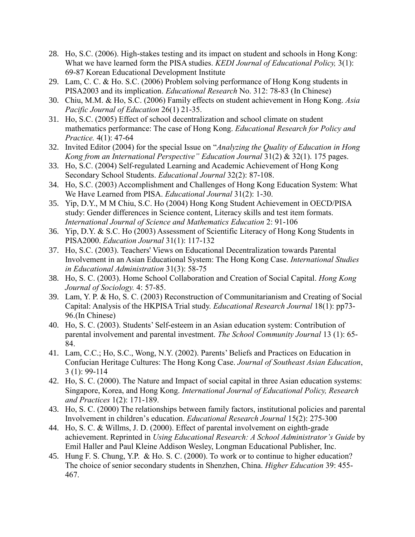- 28. Ho, S.C. (2006). High-stakes testing and its impact on student and schools in Hong Kong: What we have learned form the PISA studies. *KEDI Journal of Educational Policy,* 3(1): 69-87 Korean Educational Development Institute
- 29. Lam, C. C. & Ho. S.C. (2006) Problem solving performance of Hong Kong students in PISA2003 and its implication. *Educational Research* No. 312: 78-83 (In Chinese)
- 30. Chiu, M.M. & Ho, S.C. (2006) Family effects on student achievement in Hong Kong. *Asia Pacific Journal of Education* 26(1) 21-35.
- 31. Ho, S.C. (2005) Effect of school decentralization and school climate on student mathematics performance: The case of Hong Kong. *Educational Research for Policy and Practice.* 4(1): 47-64
- 32. Invited Editor (2004) for the special Issue on "*Analyzing the Quality of Education in Hong Kong from an International Perspective" Education Journal* 31(2) & 32(1). 175 pages.
- 33. Ho, S.C. (2004) Self-regulated Learning and Academic Achievement of Hong Kong Secondary School Students. *Educational Journal* 32(2): 87-108.
- 34. Ho, S.C. (2003) Accomplishment and Challenges of Hong Kong Education System: What We Have Learned from PISA. *Educational Journal* 31(2): 1-30.
- 35. Yip, D.Y., M M Chiu, S.C. Ho (2004) Hong Kong Student Achievement in OECD/PISA study: Gender differences in Science content, Literacy skills and test item formats. *International Journal of Science and Mathematics Education* 2: 91-106
- 36. Yip, D.Y. & S.C. Ho (2003) Assessment of Scientific Literacy of Hong Kong Students in PISA2000. *Education Journal* 31(1): 117-132
- 37. Ho, S.C. (2003). Teachers' Views on Educational Decentralization towards Parental Involvement in an Asian Educational System: The Hong Kong Case. *International Studies in Educational Administration* 31(3): 58-75
- 38. Ho, S. C. (2003). Home School Collaboration and Creation of Social Capital. *Hong Kong Journal of Sociology.* 4: 57-85.
- 39. Lam, Y. P. & Ho, S. C. (2003) Reconstruction of Communitarianism and Creating of Social Capital: Analysis of the HKPISA Trial study. *Educational Research Journal* 18(1): pp73- 96.(In Chinese)
- 40. Ho, S. C. (2003). Students' Self-esteem in an Asian education system: Contribution of parental involvement and parental investment. *The School Community Journal* 13 (1): 65- 84.
- 41. Lam, C.C.; Ho, S.C., Wong, N.Y. (2002). Parents' Beliefs and Practices on Education in Confucian Heritage Cultures: The Hong Kong Case. *Journal of Southeast Asian Education*, 3 (1): 99-114
- 42. Ho, S. C. (2000). The Nature and Impact of social capital in three Asian education systems: Singapore, Korea, and Hong Kong. *International Journal of Educational Policy, Research and Practices* 1(2): 171-189.
- 43. Ho, S. C. (2000) The relationships between family factors, institutional policies and parental Involvement in children's education. *Educational Research Journal* 15(2): 275-300
- 44. Ho, S. C. & Willms, J. D. (2000). Effect of parental involvement on eighth-grade achievement. Reprinted in *Using Educational Research: A School Administrator's Guide* by Emil Haller and Paul Kleine Addison Wesley, Longman Educational Publisher, Inc.
- 45. Hung F. S. Chung, Y.P. & Ho. S. C. (2000). To work or to continue to higher education? The choice of senior secondary students in Shenzhen, China. *Higher Education* 39: 455- 467.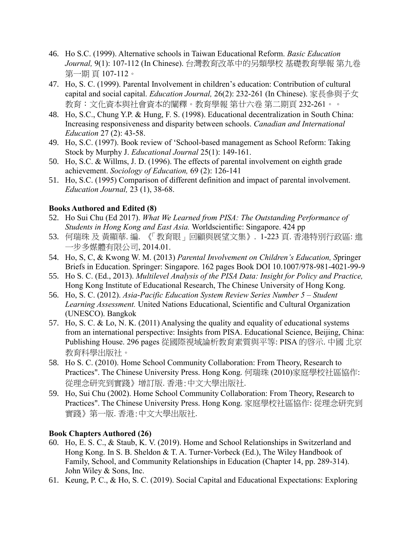- 46. Ho S.C. (1999). Alternative schools in Taiwan Educational Reform. *Basic Education Journal,* 9(1): 107-112 (In Chinese). 台灣教育改革中的另類學校 基礎教育學報 第九卷 第一期 頁 107-112。
- 47. Ho, S. C. (1999). Parental Involvement in children's education: Contribution of cultural capital and social capital. *Education Journal,* 26(2): 232-261 (In Chinese). 家長參與子女 教育:文化資本與社會資本的闡釋。教育學報 第廿六卷 第二期頁 232-261。。
- 48. Ho, S.C., Chung Y.P. & Hung, F. S. (1998). Educational decentralization in South China: Increasing responsiveness and disparity between schools. *Canadian and International Education* 27 (2): 43-58.
- 49. Ho, S.C. (1997). Book review of 'School-based management as School Reform: Taking Stock by Murphy J. *Educational Journal* 25(1): 149-161.
- 50. Ho, S.C. & Willms, J. D. (1996). The effects of parental involvement on eighth grade achievement. *Sociology of Education,* 69 (2): 126-141
- 51. Ho, S.C. (1995) Comparison of different definition and impact of parental involvement. *Education Journal,* 23 (1), 38-68.

#### **Books Authored and Edited (8)**

- 52. Ho Sui Chu (Ed 2017). *What We Learned from PISA: The Outstanding Performance of Students in Hong Kong and East Asia.* Worldscientific: Singapore. 424 pp
- 53. 何瑞珠 及 黃顯華. 編. 《「教育眼」回顧與展望文集》. 1-223 頁. 香港特別行政區: 進 一步多媒體有限公司, 2014.01.
- 54. Ho, S, C, & Kwong W. M. (2013) *Parental Involvement on Children's Education, S*pringer Briefs in Education. Springer: Singapore. 162 pages Book DOI 10.1007/978-981-4021-99-9
- 55. Ho S. C. (Ed., 2013). *Multilevel Analysis of the PISA Data: Insight for Policy and Practice,*  Hong Kong Institute of Educational Research, The Chinese University of Hong Kong.
- 56. Ho, S. C. (2012). *Asia-Pacific Education System Review Series Number 5 – Student Learning Assessment.* United Nations Educational, Scientific and Cultural Organization (UNESCO). Bangkok
- 57. Ho, S. C. & Lo, N. K. (2011) Analysing the quality and equality of educational systems from an international perspective: Insights from PISA. Educational Science, Beijing, China: Publishing House. 296 pages 從國際視域論析教育素質與平等: PISA 的啓示. 中國 北京 教育科學出版社。
- 58. Ho S. C. (2010). Home School Community Collaboration: From Theory, Research to Practices". The Chinese University Press. Hong Kong. 何瑞珠 (2010)家庭學校社區協作: 從理念研究到實踐》增訂版. 香港:中文大學出版社.
- 59. Ho, Sui Chu (2002). Home School Community Collaboration: From Theory, Research to Practices". The Chinese University Press. Hong Kong. 家庭學校社區協作: 從理念研究到 實踐》第一版. 香港:中文大學出版社.

#### **Book Chapters Authored (26)**

- 60. Ho, E. S. C., & Staub, K. V. (2019). Home and School Relationships in Switzerland and Hong Kong. In S. B. Sheldon & T. A. Turner-Vorbeck (Ed.), The Wiley Handbook of Family, School, and Community Relationships in Education (Chapter 14, pp. 289-314). John Wiley & Sons, Inc.
- 61. Keung, P. C., & Ho, S. C. (2019). Social Capital and Educational Expectations: Exploring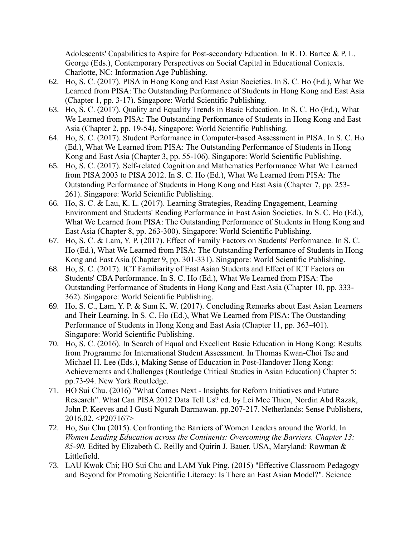Adolescents' Capabilities to Aspire for Post-secondary Education. In R. D. Bartee & P. L. George (Eds.), Contemporary Perspectives on Social Capital in Educational Contexts. Charlotte, NC: Information Age Publishing.

- 62. Ho, S. C. (2017). PISA in Hong Kong and East Asian Societies. In S. C. Ho (Ed.), What We Learned from PISA: The Outstanding Performance of Students in Hong Kong and East Asia (Chapter 1, pp. 3-17). Singapore: World Scientific Publishing.
- 63. Ho, S. C. (2017). Quality and Equality Trends in Basic Education. In S. C. Ho (Ed.), What We Learned from PISA: The Outstanding Performance of Students in Hong Kong and East Asia (Chapter 2, pp. 19-54). Singapore: World Scientific Publishing.
- 64. Ho, S. C. (2017). Student Performance in Computer-based Assessment in PISA. In S. C. Ho (Ed.), What We Learned from PISA: The Outstanding Performance of Students in Hong Kong and East Asia (Chapter 3, pp. 55-106). Singapore: World Scientific Publishing.
- 65. Ho, S. C. (2017). Self-related Cognition and Mathematics Performance What We Learned from PISA 2003 to PISA 2012. In S. C. Ho (Ed.), What We Learned from PISA: The Outstanding Performance of Students in Hong Kong and East Asia (Chapter 7, pp. 253- 261). Singapore: World Scientific Publishing.
- 66. Ho, S. C. & Lau, K. L. (2017). Learning Strategies, Reading Engagement, Learning Environment and Students' Reading Performance in East Asian Societies. In S. C. Ho (Ed.), What We Learned from PISA: The Outstanding Performance of Students in Hong Kong and East Asia (Chapter 8, pp. 263-300). Singapore: World Scientific Publishing.
- 67. Ho, S. C. & Lam, Y. P. (2017). Effect of Family Factors on Students' Performance. In S. C. Ho (Ed.), What We Learned from PISA: The Outstanding Performance of Students in Hong Kong and East Asia (Chapter 9, pp. 301-331). Singapore: World Scientific Publishing.
- 68. Ho, S. C. (2017). ICT Familiarity of East Asian Students and Effect of ICT Factors on Students' CBA Performance. In S. C. Ho (Ed.), What We Learned from PISA: The Outstanding Performance of Students in Hong Kong and East Asia (Chapter 10, pp. 333- 362). Singapore: World Scientific Publishing.
- 69. Ho, S. C., Lam, Y. P. & Sum K. W. (2017). Concluding Remarks about East Asian Learners and Their Learning. In S. C. Ho (Ed.), What We Learned from PISA: The Outstanding Performance of Students in Hong Kong and East Asia (Chapter 11, pp. 363-401). Singapore: World Scientific Publishing.
- 70. Ho, S. C. (2016). In Search of Equal and Excellent Basic Education in Hong Kong: Results from Programme for International Student Assessment. In Thomas Kwan-Choi Tse and Michael H. Lee (Eds.), Making Sense of Education in Post-Handover Hong Kong: Achievements and Challenges (Routledge Critical Studies in Asian Education) Chapter 5: pp.73-94. New York Routledge.
- 71. HO Sui Chu. (2016) "What Comes Next Insights for Reform Initiatives and Future Research". What Can PISA 2012 Data Tell Us? ed. by Lei Mee Thien, Nordin Abd Razak, John P. Keeves and I Gusti Ngurah Darmawan. pp.207-217. Netherlands: Sense Publishers, 2016.02. <P207167>
- 72. Ho, Sui Chu (2015). Confronting the Barriers of Women Leaders around the World. In *Women Leading Education across the Continents: Overcoming the Barriers. Chapter 13: 85-90.* Edited by Elizabeth C. Reilly and Quirin J. Bauer. USA, Maryland: Rowman & Littlefield.
- 73. LAU Kwok Chi; HO Sui Chu and LAM Yuk Ping. (2015) "Effective Classroom Pedagogy and Beyond for Promoting Scientific Literacy: Is There an East Asian Model?". Science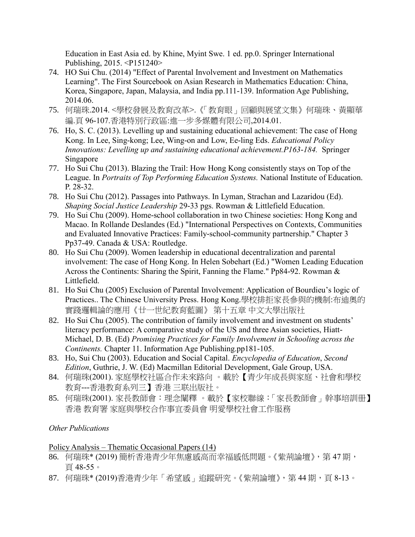Education in East Asia ed. by Khine, Myint Swe. 1 ed. pp.0. Springer International Publishing, 2015. <P151240>

- 74. HO Sui Chu. (2014) "Effect of Parental Involvement and Investment on Mathematics Learning". The First Sourcebook on Asian Research in Mathematics Education: China, Korea, Singapore, Japan, Malaysia, and India pp.111-139. Information Age Publishing, 2014.06.
- 75. 何瑞珠.2014. <學校發展及教育改革>.《「教育眼」回顧與展望文集》何瑞珠、黃顯華 編.頁 96-107.香港特別行政區:進一步多媒體有限公司,2014.01.
- 76. Ho, S. C. (2013). Levelling up and sustaining educational achievement: The case of Hong Kong. In Lee, Sing-kong; Lee, Wing-on and Low, Ee-ling Eds. *Educational Policy Innovations: Levelling up and sustaining educational achievement.P163-184.* Springer Singapore
- 77. Ho Sui Chu (2013). Blazing the Trail: How Hong Kong consistently stays on Top of the League. In *Portraits of Top Performing Education Systems.* National Institute of Education. P. 28-32.
- 78. Ho Sui Chu (2012). Passages into Pathways. In Lyman, Strachan and Lazaridou (Ed). *Shaping Social Justice Leadership* 29-33 pgs. Rowman & Littlefield Education.
- 79. Ho Sui Chu (2009). Home-school collaboration in two Chinese societies: Hong Kong and Macao. In Rollande Deslandes (Ed.) "International Perspectives on Contexts, Communities and Evaluated Innovative Practices: Family-school-community partnership." Chapter 3 Pp37-49. Canada & USA: Routledge.
- 80. Ho Sui Chu (2009). Women leadership in educational decentralization and parental involvement: The case of Hong Kong. In Helen Sobehart (Ed.) "Women Leading Education Across the Continents: Sharing the Spirit, Fanning the Flame." Pp84-92. Rowman & Littlefield.
- 81. Ho Sui Chu (2005) Exclusion of Parental Involvement: Application of Bourdieu's logic of Practices.. The Chinese University Press. Hong Kong.學校排拒家長參與的機制:布迪奧的 實踐邏輯論的應用《廿一世紀教育藍圖》 第十五章 中文大學出版社
- 82. Ho Sui Chu (2005). The contribution of family involvement and investment on students' literacy performance: A comparative study of the US and three Asian societies, Hiatt-Michael, D. B. (Ed) *Promising Practices for Family Involvement in Schooling across the Continents.* Chapter 11. Information Age Publishing.pp181-105.
- 83. Ho, Sui Chu (2003). Education and Social Capital. *Encyclopedia of Education*, *Second Edition*, Guthrie, J. W. (Ed) Macmillan Editorial Development, Gale Group, USA.
- 84. 何瑞珠(2001). 家庭學校社區合作未來路向 。載於【青少年成長與家庭、社會和學校 教育---香港教育系列三】香港 三联出版社。
- 85. 何瑞珠(2001). 家長教師會:理念闡釋 。載於【家校聯線:「家長教師會」幹事培訓册】 香港 教育署 家庭與學校合作事宜委員會 明愛學校社會工作服務

#### *Other Publications*

#### Policy Analysis – Thematic Occasional Papers (14)

- 86. 何瑞珠\* (2019) 簡析香港青少年焦慮感高而幸福感低問題。《紫荊論壇》, 第 47期, 頁 48-55。
- 87. 何瑞珠\* (2019)香港青少年「希望感」追蹤研究。《紫荊論壇》,第 44 期,頁 8-13。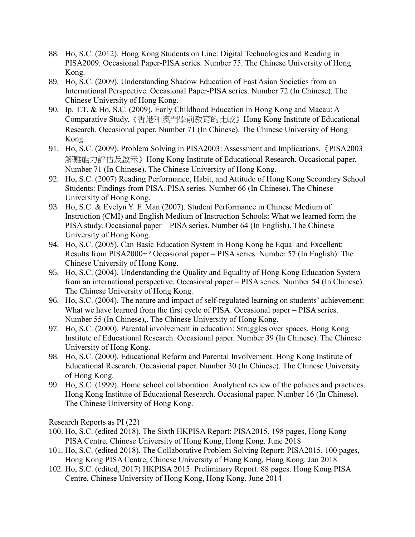- 88. Ho, S.C. (2012). Hong Kong Students on Line: Digital Technologies and Reading in PISA2009. Occasional Paper-PISA series. Number 75. The Chinese University of Hong Kong.
- 89. Ho, S.C. (2009). Understanding Shadow Education of East Asian Societies from an International Perspective. Occasional Paper-PISA series. Number 72 (In Chinese). The Chinese University of Hong Kong.
- 90. Ip. T.T. & Ho, S.C. (2009). Early Childhood Education in Hong Kong and Macau: A Comparative Study.《香港和澳門學前教育的比較》Hong Kong Institute of Educational Research. Occasional paper. Number 71 (In Chinese). The Chinese University of Hong Kong.
- 91. Ho, S.C. (2009). Problem Solving in PISA2003: Assessment and Implications.《PISA2003 解難能力評估及啟示》Hong Kong Institute of Educational Research. Occasional paper. Number 71 (In Chinese). The Chinese University of Hong Kong.
- 92. Ho, S.C. (2007) Reading Performance, Habit, and Attitude of Hong Kong Secondary School Students: Findings from PISA. PISA series. Number 66 (In Chinese). The Chinese University of Hong Kong.
- 93. Ho, S.C. & Evelyn Y. F. Man (2007). Student Performance in Chinese Medium of Instruction (CMI) and English Medium of Instruction Schools: What we learned form the PISA study. Occasional paper – PISA series. Number 64 (In English). The Chinese University of Hong Kong.
- 94. Ho, S.C. (2005). Can Basic Education System in Hong Kong be Equal and Excellent: Results from PISA2000+? Occasional paper – PISA series. Number 57 (In English). The Chinese University of Hong Kong.
- 95. Ho, S.C. (2004). Understanding the Quality and Equality of Hong Kong Education System from an international perspective. Occasional paper – PISA series. Number 54 (In Chinese). The Chinese University of Hong Kong.
- 96. Ho, S.C. (2004). The nature and impact of self-regulated learning on students' achievement: What we have learned from the first cycle of PISA. Occasional paper – PISA series. Number 55 (In Chinese),. The Chinese University of Hong Kong.
- 97. Ho, S.C. (2000). Parental involvement in education: Struggles over spaces. Hong Kong Institute of Educational Research. Occasional paper. Number 39 (In Chinese). The Chinese University of Hong Kong.
- 98. Ho, S.C. (2000). Educational Reform and Parental Involvement. Hong Kong Institute of Educational Research. Occasional paper. Number 30 (In Chinese). The Chinese University of Hong Kong.
- 99. Ho, S.C. (1999). Home school collaboration: Analytical review of the policies and practices. Hong Kong Institute of Educational Research. Occasional paper. Number 16 (In Chinese). The Chinese University of Hong Kong.

Research Reports as PI (22)

- 100. Ho, S.C. (edited 2018). The Sixth HKPISA Report: PISA2015. 198 pages, Hong Kong PISA Centre, Chinese University of Hong Kong, Hong Kong. June 2018
- 101. Ho, S.C. (edited 2018). The Collaborative Problem Solving Report: PISA2015. 100 pages, Hong Kong PISA Centre, Chinese University of Hong Kong, Hong Kong. Jan 2018
- 102. Ho, S.C. (edited, 2017) HKPISA 2015: Preliminary Report. 88 pages. Hong Kong PISA Centre, Chinese University of Hong Kong, Hong Kong. June 2014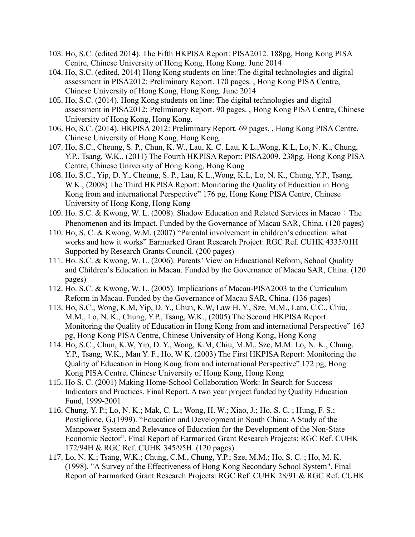- 103. Ho, S.C. (edited 2014). The Fifth HKPISA Report: PISA2012. 188pg, Hong Kong PISA Centre, Chinese University of Hong Kong, Hong Kong. June 2014
- 104. Ho, S.C. (edited, 2014) Hong Kong students on line: The digital technologies and digital assessment in PISA2012: Preliminary Report. 170 pages. , Hong Kong PISA Centre, Chinese University of Hong Kong, Hong Kong. June 2014
- 105. Ho, S.C. (2014). Hong Kong students on line: The digital technologies and digital assessment in PISA2012: Preliminary Report. 90 pages. , Hong Kong PISA Centre, Chinese University of Hong Kong, Hong Kong.
- 106. Ho, S.C. (2014). HKPISA 2012: Preliminary Report. 69 pages. , Hong Kong PISA Centre, Chinese University of Hong Kong, Hong Kong.
- 107. Ho, S.C., Cheung, S. P., Chun, K. W., Lau, K. C. Lau, K L.,Wong, K.L, Lo, N. K., Chung, Y.P., Tsang, W.K., (2011) The Fourth HKPISA Report: PISA2009. 238pg, Hong Kong PISA Centre, Chinese University of Hong Kong, Hong Kong
- 108. Ho, S.C., Yip, D. Y., Cheung, S. P., Lau, K L.,Wong, K.L, Lo, N. K., Chung, Y.P., Tsang, W.K., (2008) The Third HKPISA Report: Monitoring the Quality of Education in Hong Kong from and international Perspective" 176 pg, Hong Kong PISA Centre, Chinese University of Hong Kong, Hong Kong
- 109. Ho. S.C. & Kwong, W. L. (2008). Shadow Education and Related Services in Macao: The Phenomenon and its Impact. Funded by the Governance of Macau SAR, China. (120 pages)
- 110. Ho, S. C. & Kwong, W.M. (2007) "Parental involvement in children's education: what works and how it works" Earmarked Grant Research Project: RGC Ref. CUHK 4335/01H Supported by Research Grants Council. (200 pages)
- 111. Ho. S.C. & Kwong, W. L. (2006). Parents' View on Educational Reform, School Quality and Children's Education in Macau. Funded by the Governance of Macau SAR, China. (120 pages)
- 112. Ho. S.C. & Kwong, W. L. (2005). Implications of Macau-PISA2003 to the Curriculum Reform in Macau. Funded by the Governance of Macau SAR, China. (136 pages)
- 113. Ho, S.C., Wong, K.M, Yip, D. Y., Chun, K.W, Law H. Y., Sze, M.M., Lam, C.C., Chiu, M.M., Lo, N. K., Chung, Y.P., Tsang, W.K., (2005) The Second HKPISA Report: Monitoring the Quality of Education in Hong Kong from and international Perspective" 163 pg, Hong Kong PISA Centre, Chinese University of Hong Kong, Hong Kong
- 114. Ho, S.C., Chun, K.W, Yip, D. Y., Wong, K.M, Chiu, M.M., Sze, M.M. Lo, N. K., Chung, Y.P., Tsang, W.K., Man Y. F., Ho, W K. (2003) The First HKPISA Report: Monitoring the Quality of Education in Hong Kong from and international Perspective" 172 pg, Hong Kong PISA Centre, Chinese University of Hong Kong, Hong Kong
- 115. Ho S. C. (2001) Making Home-School Collaboration Work: In Search for Success Indicators and Practices. Final Report. A two year project funded by Quality Education Fund, 1999-2001
- 116. Chung, Y. P.; Lo, N. K.; Mak, C. L.; Wong, H. W.; Xiao, J.; Ho, S. C. ; Hung, F. S.; Postiglione, G.(1999). "Education and Development in South China: A Study of the Manpower System and Relevance of Education for the Development of the Non-State Economic Sector". Final Report of Earmarked Grant Research Projects: RGC Ref. CUHK 172/94H & RGC Ref. CUHK 345/95H. (120 pages)
- 117. Lo, N. K.; Tsang, W.K.; Chung, C.M., Chung, Y.P.; Sze, M.M.; Ho, S. C. ; Ho, M. K. (1998). "A Survey of the Effectiveness of Hong Kong Secondary School System". Final Report of Earmarked Grant Research Projects: RGC Ref. CUHK 28/91 & RGC Ref. CUHK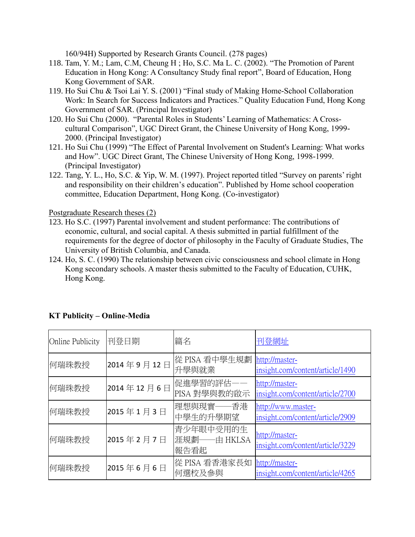160/94H) Supported by Research Grants Council. (278 pages)

- 118. Tam, Y. M.; Lam, C.M, Cheung H ; Ho, S.C. Ma L. C. (2002). "The Promotion of Parent Education in Hong Kong: A Consultancy Study final report", Board of Education, Hong Kong Government of SAR.
- 119. Ho Sui Chu & Tsoi Lai Y. S. (2001) "Final study of Making Home-School Collaboration Work: In Search for Success Indicators and Practices." Quality Education Fund, Hong Kong Government of SAR. (Principal Investigator)
- 120. Ho Sui Chu (2000). "Parental Roles in Students' Learning of Mathematics: A Crosscultural Comparison", UGC Direct Grant, the Chinese University of Hong Kong, 1999- 2000. (Principal Investigator)
- 121. Ho Sui Chu (1999) "The Effect of Parental Involvement on Student's Learning: What works and How". UGC Direct Grant, The Chinese University of Hong Kong, 1998-1999. (Principal Investigator)
- 122. Tang, Y. L., Ho, S.C. & Yip, W. M. (1997). Project reported titled "Survey on parents' right and responsibility on their children's education". Published by Home school cooperation committee, Education Department, Hong Kong. (Co-investigator)

#### Postgraduate Research theses (2)

- 123. Ho S.C. (1997) Parental involvement and student performance: The contributions of economic, cultural, and social capital. A thesis submitted in partial fulfillment of the requirements for the degree of doctor of philosophy in the Faculty of Graduate Studies, The University of British Columbia, and Canada.
- 124. Ho, S. C. (1990) The relationship between civic consciousness and school climate in Hong Kong secondary schools. A master thesis submitted to the Faculty of Education, CUHK, Hong Kong.

| <b>Online Publicity</b> | 刊登日期       | 篇名                                 | 刊登網址                                                   |
|-------------------------|------------|------------------------------------|--------------------------------------------------------|
| 何瑞珠教授                   | 2014年9月12日 | 從 PISA 看中學生規劃<br>升學與就業             | http://master-<br>insight.com/content/article/1490     |
| 何瑞珠教授                   | 2014年12月6日 | 促進學習的評估-<br>PISA 對學與教的啟示           | http://master-<br>insight.com/content/article/2700     |
| 何瑞珠教授                   | 2015年1月3日  | 理想與現實——香港<br>中學生的升學期望              | http://www.master-<br>insight.com/content/article/2909 |
| 何瑞珠教授                   | 2015年2月7日  | 青少年眼中受用的生<br> 涯規劃——由 HKLSA<br>報告看起 | http://master-<br>insight.com/content/article/3229     |
| 何瑞珠教授                   | 2015年6月6日  | 從 PISA 看香港家長如<br>何選校及參與            | http://master-<br>insight.com/content/article/4265     |

## **KT Publicity – Online-Media**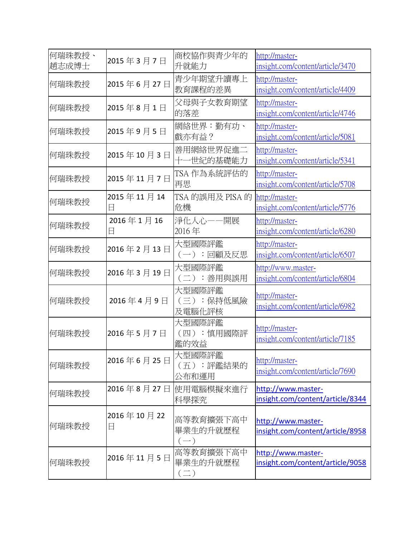| 何瑞珠教授、<br>趙志成博士 | 2015年3月7日                 | 商校協作與青少年的 <br>升就能力                  | http://master-<br>insight.com/content/article/3470     |
|-----------------|---------------------------|-------------------------------------|--------------------------------------------------------|
| 何瑞珠教授           | 2015年6月27日                | 青少年期望升讀專上<br>教育課程的差異                | http://master-<br>insight.com/content/article/4409     |
| 何瑞珠教授           | 2015年8月1日                 | 父母與子女教育期望<br>的落差                    | http://master-<br>insight.com/content/article/4746     |
| 何瑞珠教授           | 2015年9月5日                 | 網絡世界:勤有功、<br>戲亦有益?                  | http://master-<br>insight.com/content/article/5081     |
| 何瑞珠教授           | 2015年10月3日                | 善用網絡世界促進二<br>十一世紀的基礎能力              | http://master-<br>insight.com/content/article/5341     |
| 何瑞珠教授           | 2015年11月7日                | TSA 作為系統評估的<br>再思                   | http://master-<br>insight.com/content/article/5708     |
| 何瑞珠教授           | 2015年11月14<br>$\boxminus$ | TSA 的誤用及 PISA 的<br>危機               | http://master-<br>insight.com/content/article/5776     |
| 何瑞珠教授           | 2016年1月16<br>$\boxminus$  | 淨化人心——開展<br>2016年                   | http://master-<br>insight.com/content/article/6280     |
| 何瑞珠教授           | 2016年2月13日                | 大型國際評鑑<br>(一):回顧及反思                 | http://master-<br>insight.com/content/article/6507     |
| 何瑞珠教授           | 2016年3月19日                | 大型國際評鑑<br>(二):善用與誤用                 | http://www.master-<br>insight.com/content/article/6804 |
| 何瑞珠教授           | 2016年4月9日                 | 大型國際評鑑<br>(三):保持低風險<br>及電腦化評核       | http://master-<br>insight.com/content/article/6982     |
| 何瑞珠教授           | 2016年5月7日                 | 大型國際評鑑<br>(四):慎用國際評<br>鑑的效益         | http://master-<br>insight.com/content/article/7185     |
| 何瑞珠教授           | 2016年6月25日                | 大型國際評鑑<br>(五):評鑑結果的<br>公布和運用        | http://master-<br>insight.com/content/article/7690     |
| 何瑞珠教授           |                           | 2016年8月27日 使用電腦模擬來進行<br>科學探究        | http://www.master-<br>insight.com/content/article/8344 |
| 何瑞珠教授           | 2016年10月22<br>日           | 高等教育擴張下高中<br>畢業生的升就歷程<br>$(-)$      | http://www.master-<br>insight.com/content/article/8958 |
| 何瑞珠教授           | 2016年11月5日                | 高等教育擴張下高中<br>畢業生的升就歷程<br>$(\equiv)$ | http://www.master-<br>insight.com/content/article/9058 |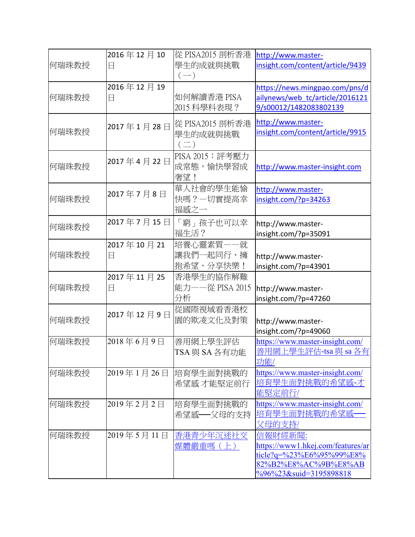| 何瑞珠教授 | 2016年12月10<br>日 | 從 PISA2015 剖析香港<br>學生的成就與挑戰<br>$(-)$      | http://www.master-<br>insight.com/content/article/9439                                                                                     |
|-------|-----------------|-------------------------------------------|--------------------------------------------------------------------------------------------------------------------------------------------|
| 何瑞珠教授 | 2016年12月19<br>日 | 如何解讀香港 PISA<br>2015 科學科表現?                | https://news.mingpao.com/pns/d<br>ailynews/web tc/article/2016121<br>9/s00012/1482083802139                                                |
| 何瑞珠教授 | 2017年1月28日      | 從 PISA2015 剖析香港<br>學生的成就與挑戰<br>$(\equiv)$ | http://www.master-<br>insight.com/content/article/9915                                                                                     |
| 何瑞珠教授 | 2017年4月22日      | PISA 2015: 評考壓力<br>成常態,愉快學習成<br>奢望!       | http://www.master-insight.com                                                                                                              |
| 何瑞珠教授 | 2017年7月8日       | 華人社會的學生能愉<br>快嗎?一切實提高幸<br>福感之一            | http://www.master-<br>insight.com/?p=34263                                                                                                 |
| 何瑞珠教授 | 2017年7月15日      | 「窮」孩子也可以幸<br>福生活?                         | http://www.master-<br>insight.com/?p=35091                                                                                                 |
| 何瑞珠教授 | 2017年10月21<br>日 | 培養心靈素質一一就<br>讓我們一起同行、擁<br>抱希望、分享快樂!       | http://www.master-<br>insight.com/?p=43901                                                                                                 |
| 何瑞珠教授 | 2017年11月25<br>日 | 香港學生的協作解難<br>能力——從 PISA 2015<br>分析        | http://www.master-<br>insight.com/?p=47260                                                                                                 |
| 何瑞珠教授 | 2017年12月9日      | 從國際視域看香港校<br>園的欺凌文化及對策                    | http://www.master-<br>insight.com/?p=49060                                                                                                 |
| 何瑞珠教授 | 2018年6月9日       | 善用網上學生評估<br>TSA 與 SA 各有功能                 | https://www.master-insight.com/<br>善用網上學生評估-tsa 與 sa 各有<br>功能/                                                                             |
| 何瑞珠教授 | 2019年1月26日      | 培育學生面對挑戰的<br>希望感 才能堅定前行                   | https://www.master-insight.com/<br>培育學生面對挑戰的希望感-才<br>能堅定前行/                                                                                |
| 何瑞珠教授 | 2019年2月2日       | 培育學生面對挑戰的<br>希望感——父母的支持                   | https://www.master-insight.com/<br>培育學生面對挑戰的希望感<br>父母的支持/                                                                                  |
| 何瑞珠教授 | 2019年5月11日      | 香港青少年沉迷社交<br>媒體嚴重嗎(上)                     | 信報財經新聞:<br>https://www1.hkej.com/features/ar<br>$ticle?q = %23%E6%95%99%E8%$<br>82%B2%E8%AC%9B%E8%AB<br>$\frac{9696}{23}$ &suid=3195898818 |